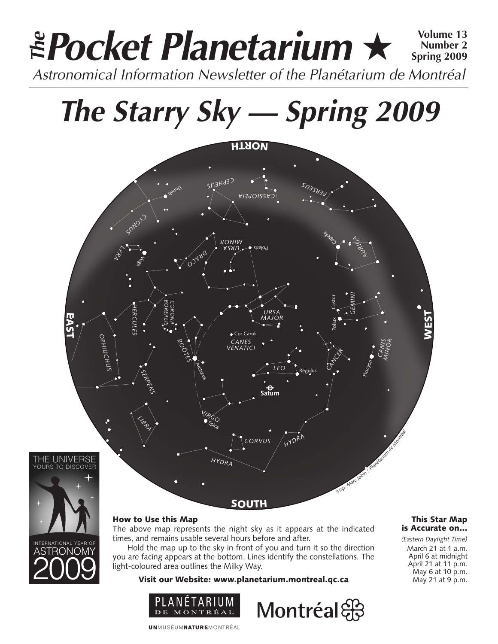### **Pocket Planetarium** ★ **Volume 13** Astronomical Information Newsletter of the Planétarium de Montréal **The Number 2 Spring 2009**

# **The Starry Sky — Spring 2009**



#### How to Use this Map

ASTRONOMY

INTERNATIONAL YEAR OF

The above map represents the night sky as it appears at the indicated times, and remains usable several hours before and after.

Hold the map up to the sky in front of you and turn it so the direction you are facing appears at the bottom. Lines identify the constellations. The light-coloured area outlines the Milky Way.

Visit our Website: www.planetarium.montreal.qc.ca





#### This Star Map is Accurate on…

*(Eastern Daylight Time)* March 21 at 1 a.m. April 6 at midnight April 21 at 11 p.m. May 6 at 10 p.m. May 21 at 9 p.m.

**UNMUSÉUMNATUREMONTRÉAL**